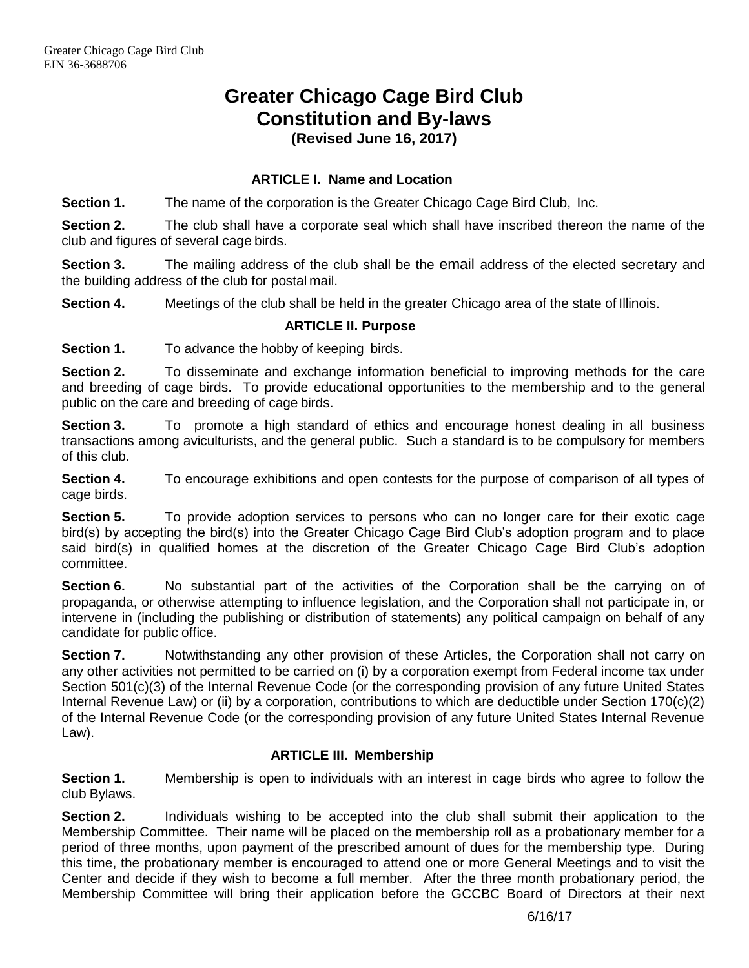# **Greater Chicago Cage Bird Club Constitution and By-laws**

**(Revised June 16, 2017)**

## **ARTICLE I. Name and Location**

**Section 1.** The name of the corporation is the Greater Chicago Cage Bird Club, Inc.

**Section 2.** The club shall have a corporate seal which shall have inscribed thereon the name of the club and figures of several cage birds.

**Section 3.** The mailing address of the club shall be the email address of the elected secretary and the building address of the club for postal mail.

**Section 4.** Meetings of the club shall be held in the greater Chicago area of the state of Illinois.

## **ARTICLE II. Purpose**

**Section 1.** To advance the hobby of keeping birds.

**Section 2.** To disseminate and exchange information beneficial to improving methods for the care and breeding of cage birds. To provide educational opportunities to the membership and to the general public on the care and breeding of cage birds.

**Section 3.** To promote a high standard of ethics and encourage honest dealing in all business transactions among aviculturists, and the general public. Such a standard is to be compulsory for members of this club.

**Section 4.** To encourage exhibitions and open contests for the purpose of comparison of all types of cage birds.

**Section 5.** To provide adoption services to persons who can no longer care for their exotic cage bird(s) by accepting the bird(s) into the Greater Chicago Cage Bird Club's adoption program and to place said bird(s) in qualified homes at the discretion of the Greater Chicago Cage Bird Club's adoption committee.

**Section 6.** No substantial part of the activities of the Corporation shall be the carrying on of propaganda, or otherwise attempting to influence legislation, and the Corporation shall not participate in, or intervene in (including the publishing or distribution of statements) any political campaign on behalf of any candidate for public office.

**Section 7.** Notwithstanding any other provision of these Articles, the Corporation shall not carry on any other activities not permitted to be carried on (i) by a corporation exempt from Federal income tax under Section 501(c)(3) of the Internal Revenue Code (or the corresponding provision of any future United States Internal Revenue Law) or (ii) by a corporation, contributions to which are deductible under Section 170(c)(2) of the Internal Revenue Code (or the corresponding provision of any future United States Internal Revenue Law).

## **ARTICLE III. Membership**

**Section 1.** Membership is open to individuals with an interest in cage birds who agree to follow the club Bylaws.

**Section 2.** Individuals wishing to be accepted into the club shall submit their application to the Membership Committee. Their name will be placed on the membership roll as a probationary member for a period of three months, upon payment of the prescribed amount of dues for the membership type. During this time, the probationary member is encouraged to attend one or more General Meetings and to visit the Center and decide if they wish to become a full member. After the three month probationary period, the Membership Committee will bring their application before the GCCBC Board of Directors at their next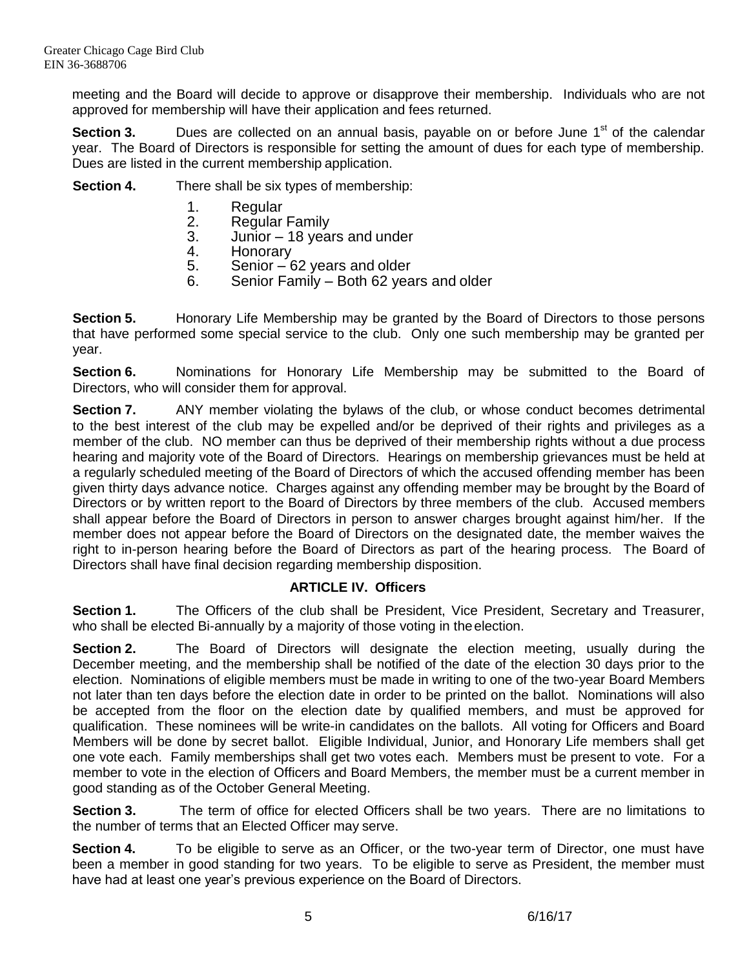meeting and the Board will decide to approve or disapprove their membership. Individuals who are not approved for membership will have their application and fees returned.

**Section 3.** Dues are collected on an annual basis, payable on or before June 1<sup>st</sup> of the calendar year. The Board of Directors is responsible for setting the amount of dues for each type of membership. Dues are listed in the current membership application.

**Section 4.** There shall be six types of membership:

- 
- 1. Regular<br>2. Regular **Regular Family**
- 3. Junior 18 years and under
- 4. Honorary
- 5. Senior 62 years and older
- 6. Senior Family Both 62 years and older

**Section 5.** Honorary Life Membership may be granted by the Board of Directors to those persons that have performed some special service to the club. Only one such membership may be granted per year.

**Section 6.** Nominations for Honorary Life Membership may be submitted to the Board of Directors, who will consider them for approval.

**Section 7.** ANY member violating the bylaws of the club, or whose conduct becomes detrimental to the best interest of the club may be expelled and/or be deprived of their rights and privileges as a member of the club. NO member can thus be deprived of their membership rights without a due process hearing and majority vote of the Board of Directors. Hearings on membership grievances must be held at a regularly scheduled meeting of the Board of Directors of which the accused offending member has been given thirty days advance notice. Charges against any offending member may be brought by the Board of Directors or by written report to the Board of Directors by three members of the club. Accused members shall appear before the Board of Directors in person to answer charges brought against him/her. If the member does not appear before the Board of Directors on the designated date, the member waives the right to in-person hearing before the Board of Directors as part of the hearing process. The Board of Directors shall have final decision regarding membership disposition.

## **ARTICLE IV. Officers**

**Section 1.** The Officers of the club shall be President, Vice President, Secretary and Treasurer, who shall be elected Bi-annually by a majority of those voting in the election.

**Section 2.** The Board of Directors will designate the election meeting, usually during the December meeting, and the membership shall be notified of the date of the election 30 days prior to the election. Nominations of eligible members must be made in writing to one of the two-year Board Members not later than ten days before the election date in order to be printed on the ballot. Nominations will also be accepted from the floor on the election date by qualified members, and must be approved for qualification. These nominees will be write-in candidates on the ballots. All voting for Officers and Board Members will be done by secret ballot. Eligible Individual, Junior, and Honorary Life members shall get one vote each. Family memberships shall get two votes each. Members must be present to vote. For a member to vote in the election of Officers and Board Members, the member must be a current member in good standing as of the October General Meeting.

**Section 3.** The term of office for elected Officers shall be two years. There are no limitations to the number of terms that an Elected Officer may serve.

**Section 4.** To be eligible to serve as an Officer, or the two-year term of Director, one must have been a member in good standing for two years. To be eligible to serve as President, the member must have had at least one year's previous experience on the Board of Directors.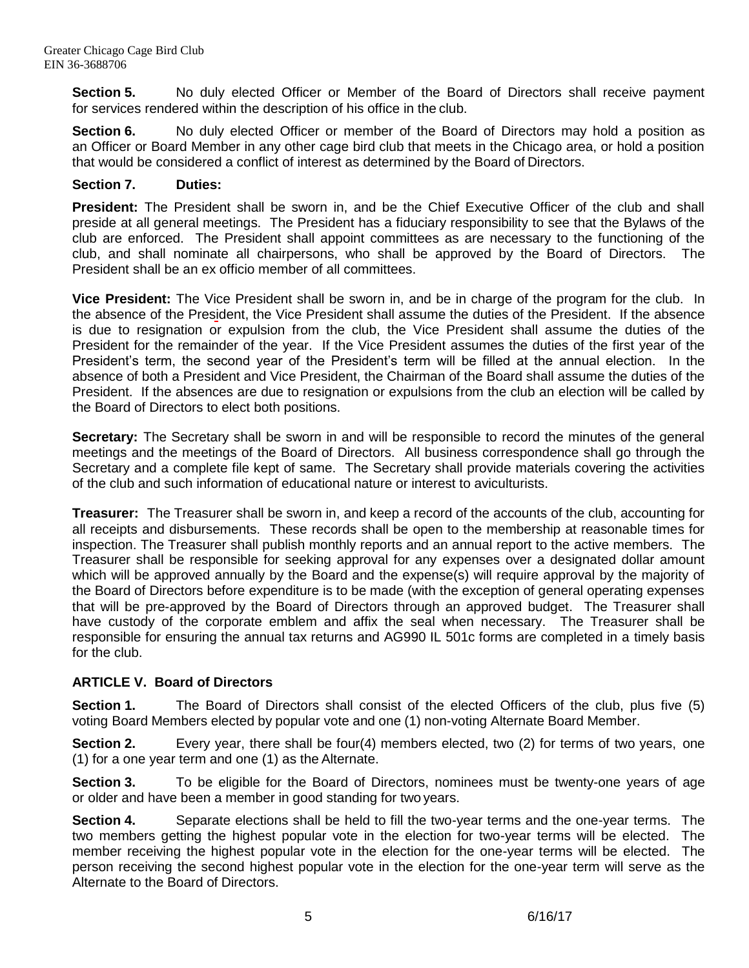**Section 5.** No duly elected Officer or Member of the Board of Directors shall receive payment for services rendered within the description of his office in the club.

**Section 6.** No duly elected Officer or member of the Board of Directors may hold a position as an Officer or Board Member in any other cage bird club that meets in the Chicago area, or hold a position that would be considered a conflict of interest as determined by the Board of Directors.

## **Section 7. Duties:**

**President:** The President shall be sworn in, and be the Chief Executive Officer of the club and shall preside at all general meetings. The President has a fiduciary responsibility to see that the Bylaws of the club are enforced. The President shall appoint committees as are necessary to the functioning of the club, and shall nominate all chairpersons, who shall be approved by the Board of Directors. The President shall be an ex officio member of all committees.

**Vice President:** The Vice President shall be sworn in, and be in charge of the program for the club. In the absence of the President, the Vice President shall assume the duties of the President. If the absence is due to resignation or expulsion from the club, the Vice President shall assume the duties of the President for the remainder of the year. If the Vice President assumes the duties of the first year of the President's term, the second year of the President's term will be filled at the annual election. In the absence of both a President and Vice President, the Chairman of the Board shall assume the duties of the President. If the absences are due to resignation or expulsions from the club an election will be called by the Board of Directors to elect both positions.

**Secretary:** The Secretary shall be sworn in and will be responsible to record the minutes of the general meetings and the meetings of the Board of Directors. All business correspondence shall go through the Secretary and a complete file kept of same. The Secretary shall provide materials covering the activities of the club and such information of educational nature or interest to aviculturists.

**Treasurer:** The Treasurer shall be sworn in, and keep a record of the accounts of the club, accounting for all receipts and disbursements. These records shall be open to the membership at reasonable times for inspection. The Treasurer shall publish monthly reports and an annual report to the active members. The Treasurer shall be responsible for seeking approval for any expenses over a designated dollar amount which will be approved annually by the Board and the expense(s) will require approval by the majority of the Board of Directors before expenditure is to be made (with the exception of general operating expenses that will be pre-approved by the Board of Directors through an approved budget. The Treasurer shall have custody of the corporate emblem and affix the seal when necessary. The Treasurer shall be responsible for ensuring the annual tax returns and AG990 IL 501c forms are completed in a timely basis for the club.

# **ARTICLE V. Board of Directors**

**Section 1.** The Board of Directors shall consist of the elected Officers of the club, plus five (5) voting Board Members elected by popular vote and one (1) non-voting Alternate Board Member.

**Section 2.** Every year, there shall be four(4) members elected, two (2) for terms of two years, one (1) for a one year term and one (1) as the Alternate.

**Section 3.** To be eligible for the Board of Directors, nominees must be twenty-one years of age or older and have been a member in good standing for two years.

**Section 4.** Separate elections shall be held to fill the two-year terms and the one-year terms. The two members getting the highest popular vote in the election for two-year terms will be elected. The member receiving the highest popular vote in the election for the one-year terms will be elected. The person receiving the second highest popular vote in the election for the one-year term will serve as the Alternate to the Board of Directors.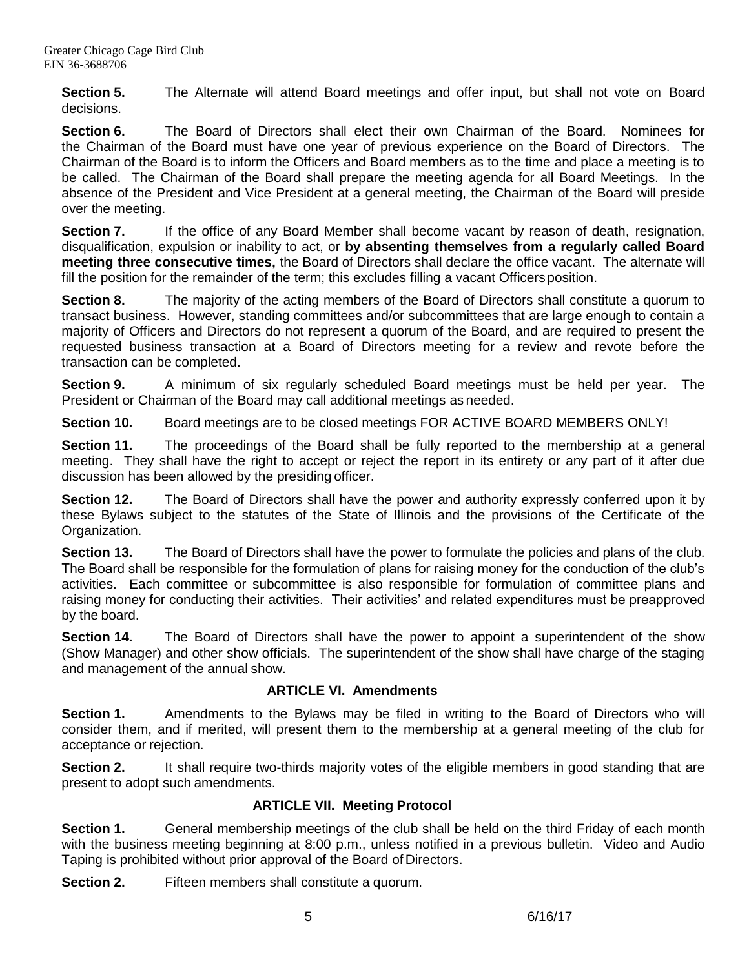**Section 5.** The Alternate will attend Board meetings and offer input, but shall not vote on Board decisions.

**Section 6.** The Board of Directors shall elect their own Chairman of the Board. Nominees for the Chairman of the Board must have one year of previous experience on the Board of Directors. The Chairman of the Board is to inform the Officers and Board members as to the time and place a meeting is to be called. The Chairman of the Board shall prepare the meeting agenda for all Board Meetings. In the absence of the President and Vice President at a general meeting, the Chairman of the Board will preside over the meeting.

**Section 7.** If the office of any Board Member shall become vacant by reason of death, resignation, disqualification, expulsion or inability to act, or **by absenting themselves from a regularly called Board meeting three consecutive times,** the Board of Directors shall declare the office vacant. The alternate will fill the position for the remainder of the term; this excludes filling a vacant Officers position.

**Section 8.** The majority of the acting members of the Board of Directors shall constitute a quorum to transact business. However, standing committees and/or subcommittees that are large enough to contain a majority of Officers and Directors do not represent a quorum of the Board, and are required to present the requested business transaction at a Board of Directors meeting for a review and revote before the transaction can be completed.

**Section 9.** A minimum of six regularly scheduled Board meetings must be held per year. The President or Chairman of the Board may call additional meetings as needed.

**Section 10.** Board meetings are to be closed meetings FOR ACTIVE BOARD MEMBERS ONLY!

**Section 11.** The proceedings of the Board shall be fully reported to the membership at a general meeting. They shall have the right to accept or reject the report in its entirety or any part of it after due discussion has been allowed by the presiding officer.

**Section 12.** The Board of Directors shall have the power and authority expressly conferred upon it by these Bylaws subject to the statutes of the State of Illinois and the provisions of the Certificate of the Organization.

**Section 13.** The Board of Directors shall have the power to formulate the policies and plans of the club. The Board shall be responsible for the formulation of plans for raising money for the conduction of the club's activities. Each committee or subcommittee is also responsible for formulation of committee plans and raising money for conducting their activities. Their activities' and related expenditures must be preapproved by the board.

**Section 14.** The Board of Directors shall have the power to appoint a superintendent of the show (Show Manager) and other show officials. The superintendent of the show shall have charge of the staging and management of the annual show.

# **ARTICLE VI. Amendments**

**Section 1.** Amendments to the Bylaws may be filed in writing to the Board of Directors who will consider them, and if merited, will present them to the membership at a general meeting of the club for acceptance or rejection.

**Section 2.** It shall require two-thirds majority votes of the eligible members in good standing that are present to adopt such amendments.

# **ARTICLE VII. Meeting Protocol**

**Section 1.** General membership meetings of the club shall be held on the third Friday of each month with the business meeting beginning at 8:00 p.m., unless notified in a previous bulletin. Video and Audio Taping is prohibited without prior approval of the Board of Directors.

**Section 2.** Fifteen members shall constitute a quorum.